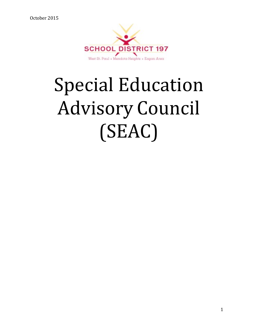

# Special Education Advisory Council (SEAC)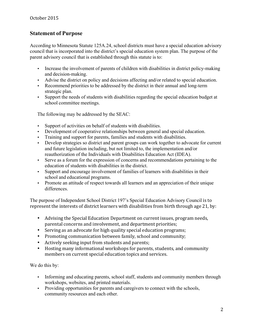## **Statement of Purpose**

According to Minnesota Statute 125A.24, school districts must have a special education advisory council that is incorporated into the district's special education system plan. The purpose of the parent advisory council that is established through this statute is to:

- Increase the involvement of parents of children with disabilities in district policy-making and decision-making.
- Advise the district on policy and decisions affecting and/or related to special education.
- Recommend priorities to be addressed by the district in their annual and long-term strategic plan.
- Support the needs of students with disabilities regarding the special education budget at school committee meetings.

The following may be addressed by the SEAC:

- Support of activities on behalf of students with disabilities.
- Development of cooperative relationships between general and special education.
- Training and support for parents, families and students with disabilities.
- Develop strategies so district and parent groups can work together to advocate for current and future legislation including, but not limited to, the implementation and/or reauthorization of the Individuals with Disabilities Education Act (IDEA).
- Serve as a forum for the expression of concerns and recommendations pertaining to the education of students with disabilities in the district.
- Support and encourage involvement of families of learners with disabilities in their school and educational programs.
- Promote an attitude of respect towards all learners and an appreciation of their unique differences.

The purpose of Independent School District 197's Special Education Advisory Council is to represent the interests of district learners with disabilities from birth through age 21, by:

- Advising the Special Education Department on current issues, program needs, parental concerns and involvement, and department priorities;
- Serving as an advocate for high quality special education programs;
- Promoting communication between family, school and community;
- Actively seeking input from students and parents;
- Hosting many informational workshops for parents, students, and community members on current special education topics and services.

We do this by:

- Informing and educating parents, school staff, students and community members through workshops, websites, and printed materials.
- Providing opportunities for parents and caregivers to connect with the schools, community resources and each other.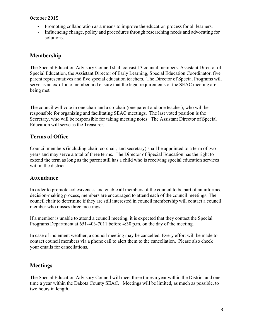- Promoting collaboration as a means to improve the education process for all learners.
- Influencing change, policy and procedures through researching needs and advocating for solutions.

## **Membership**

The Special Education Advisory Council shall consist 13 council members: Assistant Director of Special Education, the Assistant Director of Early Learning, Special Education Coordinator, five parent representatives and five special education teachers. The Director of Special Programs will serve as an ex-officio member and ensure that the legal requirements of the SEAC meeting are being met.

The council will vote in one chair and a co-chair (one parent and one teacher), who will be responsible for organizing and facilitating SEAC meetings. The last voted position is the Secretary, who will be responsible for taking meeting notes. The Assistant Director of Special Education will serve as the Treasurer.

## **Terms of Office**

Council members (including chair, co-chair, and secretary) shall be appointed to a term of two years and may serve a total of three terms. The Director of Special Education has the right to extend the term as long as the parent still has a child who is receiving special education services within the district.

## **Attendance**

In order to promote cohesiveness and enable all members of the council to be part of an informed decision-making process, members are encouraged to attend each of the council meetings. The council chair to determine if they are still interested in council membership will contact a council member who misses three meetings.

If a member is unable to attend a council meeting, it is expected that they contact the Special Programs Department at 651-403-7011 before 4:30 p.m. on the day of the meeting.

In case of inclement weather, a council meeting may be cancelled. Every effort will be made to contact council members via a phone call to alert them to the cancellation. Please also check your emails for cancellations.

## **Meetings**

The Special Education Advisory Council will meet three times a year within the District and one time a year within the Dakota County SEAC. Meetings will be limited, as much as possible, to two hours in length.